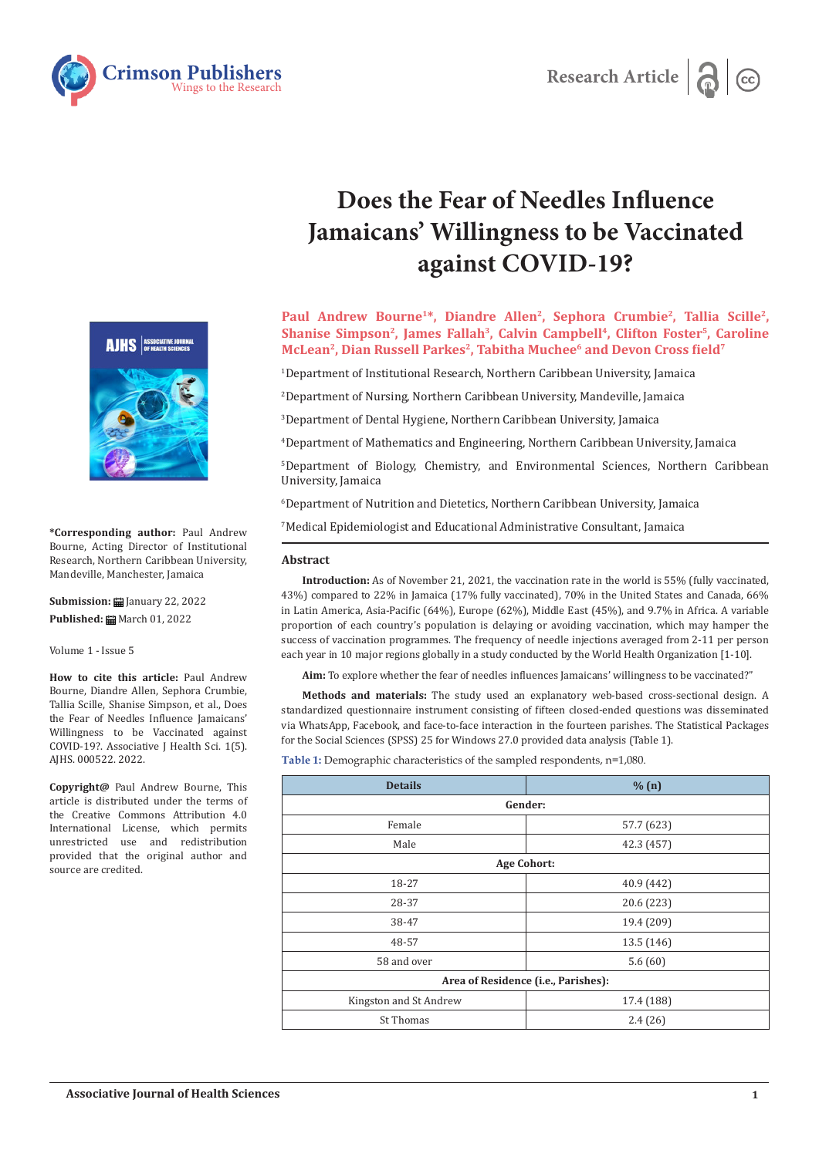



# **Does the Fear of Needles Influence Jamaicans' Willingness to be Vaccinated against COVID-19?**

Paul Andrew Bourne<sup>1\*</sup>, Diandre Allen<sup>2</sup>, Sephora Crumbie<sup>2</sup>, Tallia Scille<sup>2</sup>, Shanise Simpson<sup>2</sup>, James Fallah<sup>3</sup>, Calvin Campbell<sup>4</sup>, Clifton Foster<sup>5</sup>, Caroline **McLean2, Dian Russell Parkes2, Tabitha Muchee6 and Devon Cross field<sup>7</sup>**

1 Department of Institutional Research, Northern Caribbean University, Jamaica

2 Department of Nursing, Northern Caribbean University, Mandeville, Jamaica

3 Department of Dental Hygiene, Northern Caribbean University, Jamaica

4 Department of Mathematics and Engineering, Northern Caribbean University, Jamaica

5 Department of Biology, Chemistry, and Environmental Sciences, Northern Caribbean University, Jamaica

6 Department of Nutrition and Dietetics, Northern Caribbean University, Jamaica

7 Medical Epidemiologist and Educational Administrative Consultant, Jamaica

### **Abstract**

**Introduction:** As of November 21, 2021, the vaccination rate in the world is 55% (fully vaccinated, 43%) compared to 22% in Jamaica (17% fully vaccinated), 70% in the United States and Canada, 66% in Latin America, Asia-Pacific (64%), Europe (62%), Middle East (45%), and 9.7% in Africa. A variable proportion of each country's population is delaying or avoiding vaccination, which may hamper the success of vaccination programmes. The frequency of needle injections averaged from 2-11 per person each year in 10 major regions globally in a study conducted by the World Health Organization [1-10].

**Aim:** To explore whether the fear of needles influences Jamaicans' willingness to be vaccinated?"

**Methods and materials:** The study used an explanatory web-based cross-sectional design. A standardized questionnaire instrument consisting of fifteen closed-ended questions was disseminated via WhatsApp, Facebook, and face-to-face interaction in the fourteen parishes. The Statistical Packages for the Social Sciences (SPSS) 25 for Windows 27.0 provided data analysis (Table 1).

**Table 1:** Demographic characteristics of the sampled respondents, n=1,080.

| % (n)                               |  |  |  |  |  |
|-------------------------------------|--|--|--|--|--|
| Gender:                             |  |  |  |  |  |
| 57.7 (623)                          |  |  |  |  |  |
| 42.3 (457)                          |  |  |  |  |  |
| <b>Age Cohort:</b>                  |  |  |  |  |  |
| 40.9 (442)                          |  |  |  |  |  |
| 20.6 (223)                          |  |  |  |  |  |
| 19.4 (209)                          |  |  |  |  |  |
| 13.5 (146)                          |  |  |  |  |  |
| 5.6(60)                             |  |  |  |  |  |
| Area of Residence (i.e., Parishes): |  |  |  |  |  |
| 17.4 (188)                          |  |  |  |  |  |
| 2.4(26)                             |  |  |  |  |  |
|                                     |  |  |  |  |  |



**\*Corresponding author:** Paul Andrew Bourne, Acting Director of Institutional Research, Northern Caribbean University, Mandeville, Manchester, Jamaica

**Submission: 自** January 22, 2022 Published: **■** March 01, 2022

Volume 1 - Issue 5

**How to cite this article:** Paul Andrew Bourne, Diandre Allen, Sephora Crumbie, Tallia Scille, Shanise Simpson, et al., Does the Fear of Needles Influence Jamaicans' Willingness to be Vaccinated against COVID-19?. Associative J Health Sci. 1(5). AJHS. 000522. 2022.

**Copyright@** Paul Andrew Bourne, This article is distributed under the terms of the Creative Commons Attribution 4.0 International License, which permits unrestricted use and redistribution provided that the original author and source are credited.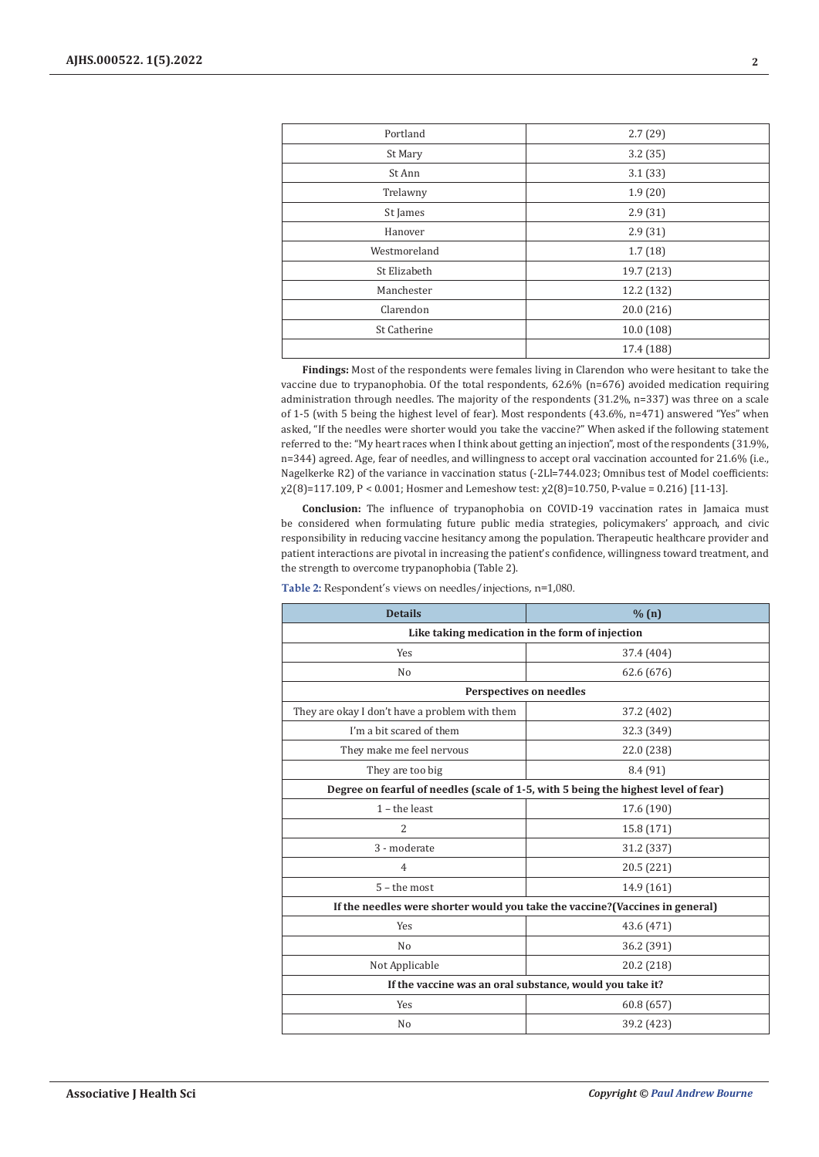| Portland     | 2.7(29)    |
|--------------|------------|
| St Mary      | 3.2(35)    |
| St Ann       | 3.1(33)    |
| Trelawny     | 1.9(20)    |
| St James     | 2.9(31)    |
| Hanover      | 2.9(31)    |
| Westmoreland | 1.7(18)    |
| St Elizabeth | 19.7 (213) |
| Manchester   | 12.2 (132) |
| Clarendon    | 20.0(216)  |
| St Catherine | 10.0 (108) |
|              | 17.4 (188) |

**Findings:** Most of the respondents were females living in Clarendon who were hesitant to take the vaccine due to trypanophobia. Of the total respondents, 62.6% (n=676) avoided medication requiring administration through needles. The majority of the respondents (31.2%, n=337) was three on a scale of 1-5 (with 5 being the highest level of fear). Most respondents (43.6%, n=471) answered "Yes" when asked, "If the needles were shorter would you take the vaccine?" When asked if the following statement referred to the: "My heart races when I think about getting an injection", most of the respondents (31.9%, n=344) agreed. Age, fear of needles, and willingness to accept oral vaccination accounted for 21.6% (i.e., Nagelkerke R2) of the variance in vaccination status (-2Ll=744.023; Omnibus test of Model coefficients: χ2(8)=117.109, P < 0.001; Hosmer and Lemeshow test: χ2(8)=10.750, P-value = 0.216) [11-13].

**Conclusion:** The influence of trypanophobia on COVID-19 vaccination rates in Jamaica must be considered when formulating future public media strategies, policymakers' approach, and civic responsibility in reducing vaccine hesitancy among the population. Therapeutic healthcare provider and patient interactions are pivotal in increasing the patient's confidence, willingness toward treatment, and the strength to overcome trypanophobia (Table 2).

| <b>Details</b>                                                                      | % (n)      |  |  |  |  |
|-------------------------------------------------------------------------------------|------------|--|--|--|--|
| Like taking medication in the form of injection                                     |            |  |  |  |  |
| <b>Yes</b>                                                                          | 37.4 (404) |  |  |  |  |
| N <sub>0</sub>                                                                      | 62.6 (676) |  |  |  |  |
| <b>Perspectives on needles</b>                                                      |            |  |  |  |  |
| They are okay I don't have a problem with them                                      | 37.2 (402) |  |  |  |  |
| I'm a bit scared of them                                                            | 32.3 (349) |  |  |  |  |
| They make me feel nervous                                                           | 22.0 (238) |  |  |  |  |
| They are too big                                                                    | 8.4 (91)   |  |  |  |  |
| Degree on fearful of needles (scale of 1-5, with 5 being the highest level of fear) |            |  |  |  |  |
| $1$ – the least                                                                     | 17.6 (190) |  |  |  |  |
| $\overline{\mathcal{L}}$                                                            | 15.8 (171) |  |  |  |  |
| 3 - moderate                                                                        | 31.2 (337) |  |  |  |  |
| 4                                                                                   | 20.5 (221) |  |  |  |  |
| $5$ – the most                                                                      | 14.9 (161) |  |  |  |  |
| If the needles were shorter would you take the vaccine? (Vaccines in general)       |            |  |  |  |  |
| Yes                                                                                 | 43.6 (471) |  |  |  |  |
| No                                                                                  | 36.2 (391) |  |  |  |  |
| Not Applicable                                                                      | 20.2 (218) |  |  |  |  |
| If the vaccine was an oral substance, would you take it?                            |            |  |  |  |  |
| Yes                                                                                 | 60.8 (657) |  |  |  |  |
| N <sub>0</sub>                                                                      | 39.2 (423) |  |  |  |  |

**Table 2:** Respondent's views on needles/injections, n=1,080.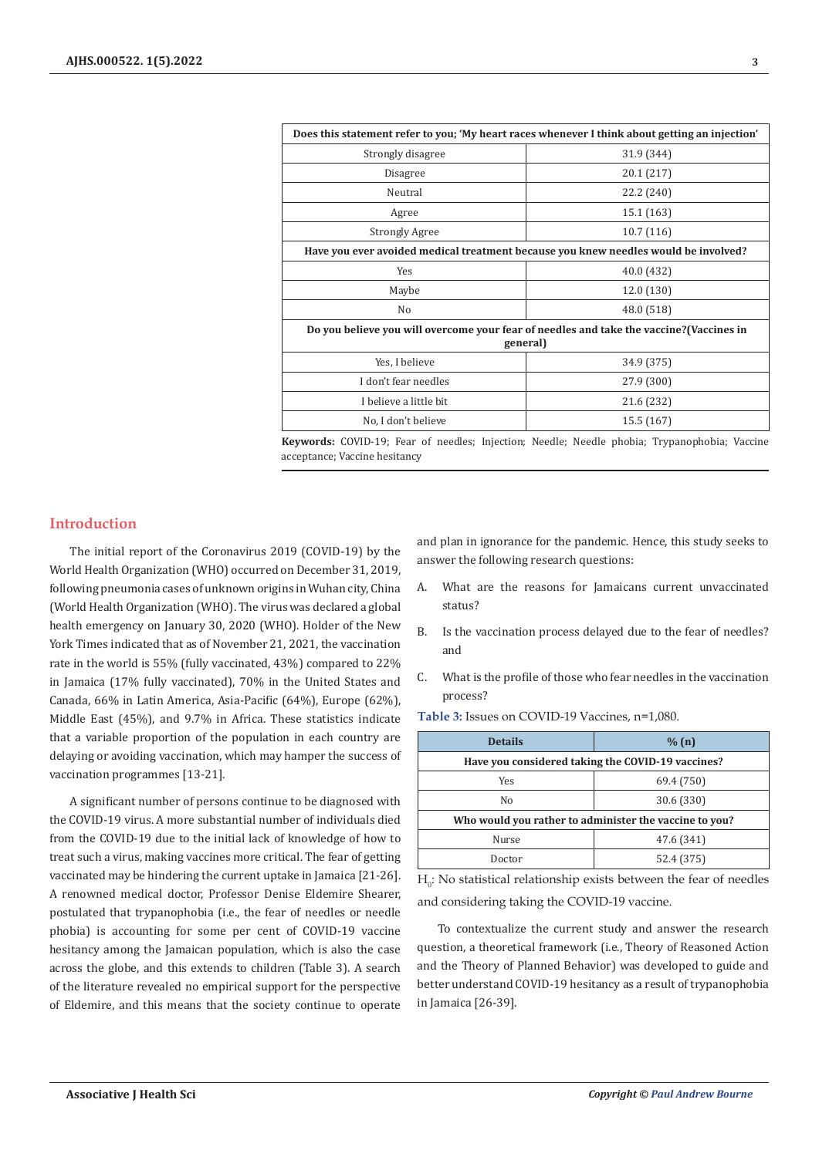| Does this statement refer to you; 'My heart races whenever I think about getting an injection' |                                                                                          |  |  |
|------------------------------------------------------------------------------------------------|------------------------------------------------------------------------------------------|--|--|
| Strongly disagree                                                                              | 31.9 (344)                                                                               |  |  |
| Disagree                                                                                       | 20.1 (217)                                                                               |  |  |
| Neutral                                                                                        | 22.2 (240)                                                                               |  |  |
| Agree                                                                                          | 15.1 (163)                                                                               |  |  |
| <b>Strongly Agree</b>                                                                          | 10.7(116)                                                                                |  |  |
|                                                                                                | Have you ever avoided medical treatment because you knew needles would be involved?      |  |  |
| Yes                                                                                            | 40.0 (432)                                                                               |  |  |
| Maybe                                                                                          | 12.0 (130)                                                                               |  |  |
| No                                                                                             | 48.0 (518)                                                                               |  |  |
|                                                                                                | Do you believe you will overcome your fear of needles and take the vaccine? (Vaccines in |  |  |
| general)                                                                                       |                                                                                          |  |  |
| Yes, I believe                                                                                 | 34.9 (375)                                                                               |  |  |
| I don't fear needles                                                                           | 27.9 (300)                                                                               |  |  |
| I believe a little bit                                                                         | 21.6 (232)                                                                               |  |  |
| No, I don't believe                                                                            | 15.5 (167)                                                                               |  |  |

**Keywords:** COVID-19; Fear of needles; Injection; Needle; Needle phobia; Trypanophobia; Vaccine acceptance; Vaccine hesitancy

## **Introduction**

The initial report of the Coronavirus 2019 (COVID-19) by the World Health Organization (WHO) occurred on December 31, 2019, following pneumonia cases of unknown origins in Wuhan city, China (World Health Organization (WHO). The virus was declared a global health emergency on January 30, 2020 (WHO). Holder of the New York Times indicated that as of November 21, 2021, the vaccination rate in the world is 55% (fully vaccinated, 43%) compared to 22% in Jamaica (17% fully vaccinated), 70% in the United States and Canada, 66% in Latin America, Asia-Pacific (64%), Europe (62%), Middle East (45%), and 9.7% in Africa. These statistics indicate that a variable proportion of the population in each country are delaying or avoiding vaccination, which may hamper the success of vaccination programmes [13-21].

A significant number of persons continue to be diagnosed with the COVID-19 virus. A more substantial number of individuals died from the COVID-19 due to the initial lack of knowledge of how to treat such a virus, making vaccines more critical. The fear of getting vaccinated may be hindering the current uptake in Jamaica [21-26]. A renowned medical doctor, Professor Denise Eldemire Shearer, postulated that trypanophobia (i.e., the fear of needles or needle phobia) is accounting for some per cent of COVID-19 vaccine hesitancy among the Jamaican population, which is also the case across the globe, and this extends to children (Table 3). A search of the literature revealed no empirical support for the perspective of Eldemire, and this means that the society continue to operate

and plan in ignorance for the pandemic. Hence, this study seeks to answer the following research questions:

- A. What are the reasons for Jamaicans current unvaccinated status?
- B. Is the vaccination process delayed due to the fear of needles? and
- C. What is the profile of those who fear needles in the vaccination process?

**Table 3:** Issues on COVID-19 Vaccines, n=1,080.

| <b>Details</b>                                         | % (n)      |  |  |  |  |
|--------------------------------------------------------|------------|--|--|--|--|
| Have you considered taking the COVID-19 vaccines?      |            |  |  |  |  |
| Yes                                                    | 69.4 (750) |  |  |  |  |
| Nο                                                     | 30.6 (330) |  |  |  |  |
| Who would you rather to administer the vaccine to you? |            |  |  |  |  |
| <b>Nurse</b>                                           | 47.6 (341) |  |  |  |  |
| Doctor                                                 | 52.4 (375) |  |  |  |  |

 $H_0$ : No statistical relationship exists between the fear of needles and considering taking the COVID-19 vaccine.

To contextualize the current study and answer the research question, a theoretical framework (i.e., Theory of Reasoned Action and the Theory of Planned Behavior) was developed to guide and better understand COVID-19 hesitancy as a result of trypanophobia in Jamaica [26-39].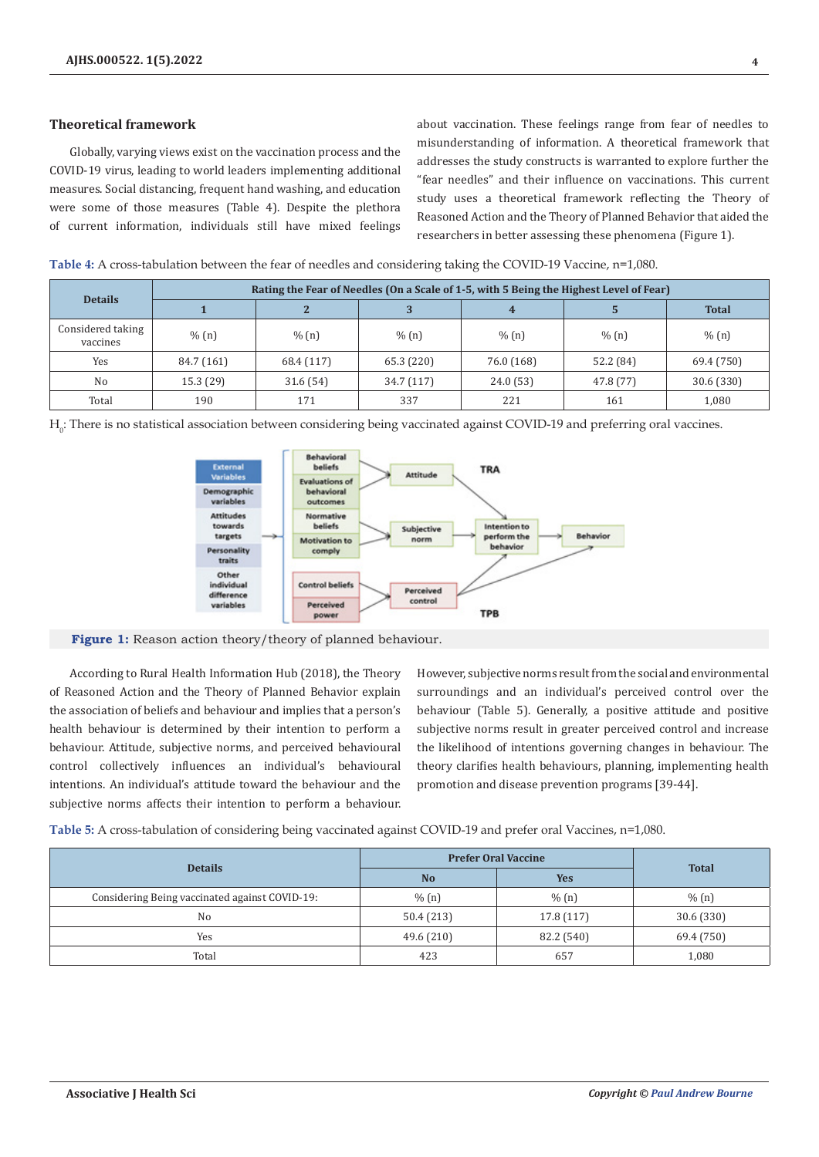## **Theoretical framework**

Globally, varying views exist on the vaccination process and the COVID-19 virus, leading to world leaders implementing additional measures. Social distancing, frequent hand washing, and education were some of those measures (Table 4). Despite the plethora of current information, individuals still have mixed feelings about vaccination. These feelings range from fear of needles to misunderstanding of information. A theoretical framework that addresses the study constructs is warranted to explore further the "fear needles" and their influence on vaccinations. This current study uses a theoretical framework reflecting the Theory of Reasoned Action and the Theory of Planned Behavior that aided the researchers in better assessing these phenomena (Figure 1).

**Table 4:** A cross-tabulation between the fear of needles and considering taking the COVID-19 Vaccine, n=1,080.

|                               | Rating the Fear of Needles (On a Scale of 1-5, with 5 Being the Highest Level of Fear) |              |            |            |           |              |  |
|-------------------------------|----------------------------------------------------------------------------------------|--------------|------------|------------|-----------|--------------|--|
| <b>Details</b>                |                                                                                        | $\mathbf{r}$ |            |            |           | <b>Total</b> |  |
| Considered taking<br>vaccines | % (n)                                                                                  | % (n)        | % (n)      | % (n)      | % (n)     | % (n)        |  |
| Yes                           | 84.7 (161)                                                                             | 68.4 (117)   | 65.3 (220) | 76.0 (168) | 52.2 (84) | 69.4 (750)   |  |
| No                            | 15.3(29)                                                                               | 31.6(54)     | 34.7 (117) | 24.0(53)   | 47.8 (77) | 30.6 (330)   |  |
| Total                         | 190                                                                                    | 171          | 337        | 221        | 161       | 1,080        |  |

 $H_0$ : There is no statistical association between considering being vaccinated against COVID-19 and preferring oral vaccines.



Figure 1: Reason action theory/theory of planned behaviour.

According to Rural Health Information Hub (2018), the Theory of Reasoned Action and the Theory of Planned Behavior explain the association of beliefs and behaviour and implies that a person's health behaviour is determined by their intention to perform a behaviour. Attitude, subjective norms, and perceived behavioural control collectively influences an individual's behavioural intentions. An individual's attitude toward the behaviour and the subjective norms affects their intention to perform a behaviour.

However, subjective norms result from the social and environmental surroundings and an individual's perceived control over the behaviour (Table 5). Generally, a positive attitude and positive subjective norms result in greater perceived control and increase the likelihood of intentions governing changes in behaviour. The theory clarifies health behaviours, planning, implementing health promotion and disease prevention programs [39-44].

**Table 5:** A cross-tabulation of considering being vaccinated against COVID-19 and prefer oral Vaccines, n=1,080.

| <b>Details</b>                                 | <b>Prefer Oral Vaccine</b> | <b>Total</b> |            |
|------------------------------------------------|----------------------------|--------------|------------|
|                                                | <b>No</b>                  | <b>Yes</b>   |            |
| Considering Being vaccinated against COVID-19: | % (n)                      | % (n)        | % (n)      |
| N <sub>0</sub>                                 | 50.4 (213)                 | 17.8 (117)   | 30.6(330)  |
| Yes                                            | 49.6 (210)                 | 82.2 (540)   | 69.4 (750) |
| Total                                          | 423                        | 657          | 1,080      |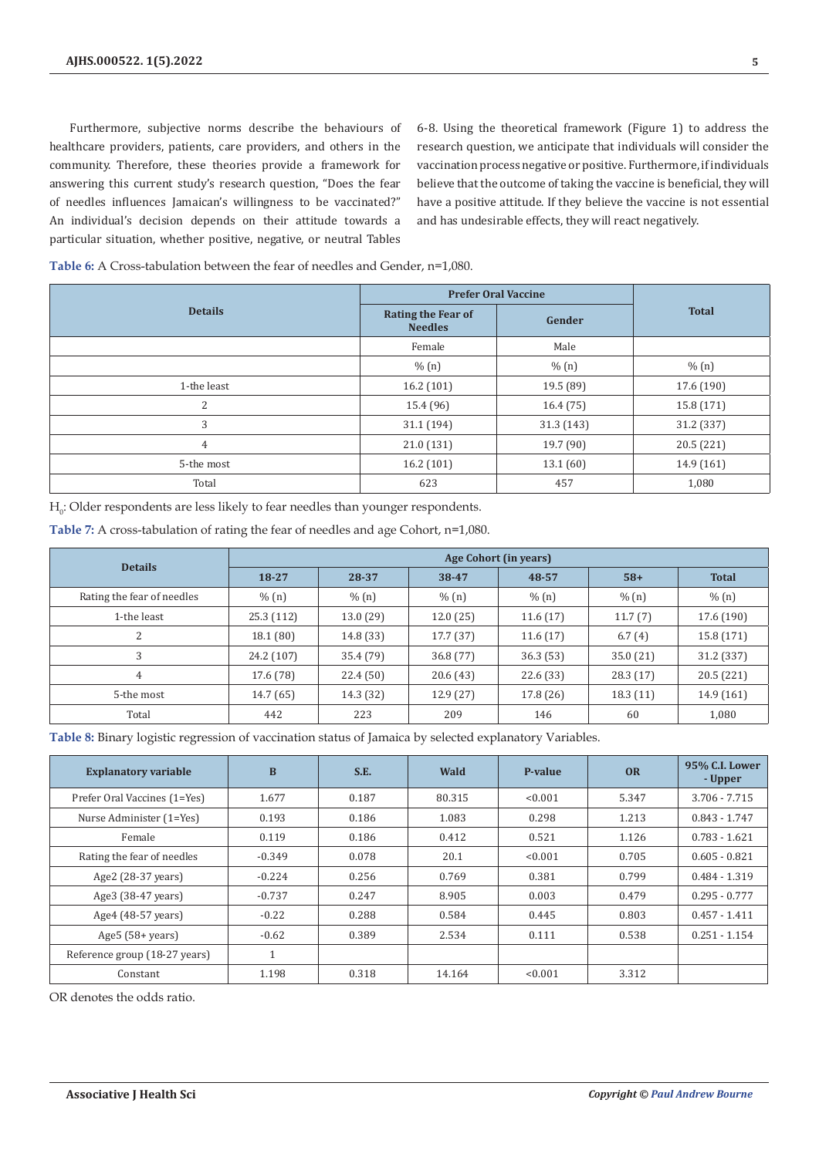Furthermore, subjective norms describe the behaviours of healthcare providers, patients, care providers, and others in the community. Therefore, these theories provide a framework for answering this current study's research question, "Does the fear of needles influences Jamaican's willingness to be vaccinated?" An individual's decision depends on their attitude towards a particular situation, whether positive, negative, or neutral Tables

6-8. Using the theoretical framework (Figure 1) to address the research question, we anticipate that individuals will consider the vaccination process negative or positive. Furthermore, if individuals believe that the outcome of taking the vaccine is beneficial, they will have a positive attitude. If they believe the vaccine is not essential and has undesirable effects, they will react negatively.

| Table 6: A Cross-tabulation between the fear of needles and Gender, n=1,080. |  |  |
|------------------------------------------------------------------------------|--|--|
|------------------------------------------------------------------------------|--|--|

|                | <b>Prefer Oral Vaccine</b>           |           |              |
|----------------|--------------------------------------|-----------|--------------|
| <b>Details</b> | Rating the Fear of<br><b>Needles</b> | Gender    | <b>Total</b> |
|                | Female                               | Male      |              |
|                | % (n)                                | % (n)     | % (n)        |
| 1-the least    | 16.2(101)                            | 19.5 (89) | 17.6 (190)   |
| 2              | 15.4 (96)                            | 16.4(75)  | 15.8 (171)   |
| 3              | 31.1 (194)                           | 31.3(143) | 31.2 (337)   |
| 4              | 21.0(131)                            | 19.7 (90) | 20.5 (221)   |
| 5-the most     | 16.2 (101)                           | 13.1(60)  | 14.9 (161)   |
| Total          | 623                                  | 457       | 1,080        |

 $H_0$ : Older respondents are less likely to fear needles than younger respondents.

**Table 7:** A cross-tabulation of rating the fear of needles and age Cohort, n=1,080.

| <b>Details</b>             | Age Cohort (in years) |           |           |           |          |              |
|----------------------------|-----------------------|-----------|-----------|-----------|----------|--------------|
|                            | 18-27                 | 28-37     | 38-47     | 48-57     | $58+$    | <b>Total</b> |
| Rating the fear of needles | % (n)                 | % (n)     | % (n)     | % (n)     | % (n)    | % (n)        |
| 1-the least                | 25.3(112)             | 13.0 (29) | 12.0(25)  | 11.6(17)  | 11.7(7)  | 17.6 (190)   |
| $\overline{c}$             | 18.1(80)              | 14.8 (33) | 17.7(37)  | 11.6(17)  | 6.7(4)   | 15.8 (171)   |
| 3                          | 24.2 (107)            | 35.4 (79) | 36.8 (77) | 36.3(53)  | 35.0(21) | 31.2 (337)   |
| 4                          | 17.6 (78)             | 22.4(50)  | 20.6(43)  | 22.6 (33) | 28.3(17) | 20.5 (221)   |
| 5-the most                 | 14.7(65)              | 14.3 (32) | 12.9(27)  | 17.8(26)  | 18.3(11) | 14.9 (161)   |
| Total                      | 442                   | 223       | 209       | 146       | 60       | 1,080        |

**Table 8:** Binary logistic regression of vaccination status of Jamaica by selected explanatory Variables.

| <b>Explanatory variable</b>   | B        | S.E.  | Wald   | P-value | <b>OR</b> | 95% C.I. Lower<br>- Upper |
|-------------------------------|----------|-------|--------|---------|-----------|---------------------------|
| Prefer Oral Vaccines (1=Yes)  | 1.677    | 0.187 | 80.315 | < 0.001 | 5.347     | 3.706 - 7.715             |
| Nurse Administer (1=Yes)      | 0.193    | 0.186 | 1.083  | 0.298   | 1.213     | $0.843 - 1.747$           |
| Female                        | 0.119    | 0.186 | 0.412  | 0.521   | 1.126     | $0.783 - 1.621$           |
| Rating the fear of needles    | $-0.349$ | 0.078 | 20.1   | < 0.001 | 0.705     | $0.605 - 0.821$           |
| Age2 (28-37 years)            | $-0.224$ | 0.256 | 0.769  | 0.381   | 0.799     | $0.484 - 1.319$           |
| Age3 (38-47 years)            | $-0.737$ | 0.247 | 8.905  | 0.003   | 0.479     | $0.295 - 0.777$           |
| Age4 (48-57 years)            | $-0.22$  | 0.288 | 0.584  | 0.445   | 0.803     | $0.457 - 1.411$           |
| Age $5(58 + years)$           | $-0.62$  | 0.389 | 2.534  | 0.111   | 0.538     | $0.251 - 1.154$           |
| Reference group (18-27 years) | 1        |       |        |         |           |                           |
| Constant                      | 1.198    | 0.318 | 14.164 | < 0.001 | 3.312     |                           |

OR denotes the odds ratio.